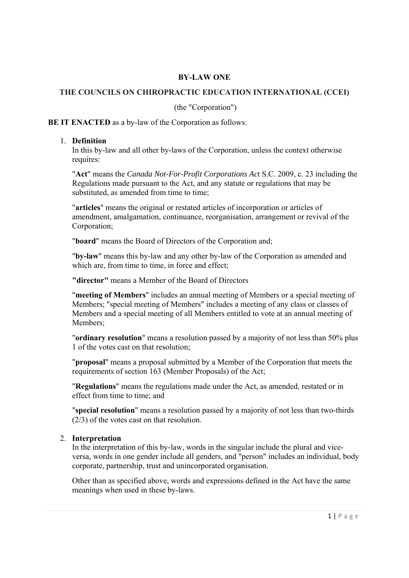## **BY-LAW ONE**

# **THE COUNCILS ON CHIROPRACTIC EDUCATION INTERNATIONAL (CCEI)**

(the "Corporation")

### **BE IT ENACTED** as a by-law of the Corporation as follows:

#### 1. **Definition**

In this by-law and all other by-laws of the Corporation, unless the context otherwise requires:

"**Act**" means the *Canada Not-For-Profit Corporations Act* S.C. 2009, c. 23 including the Regulations made pursuant to the Act, and any statute or regulations that may be substituted, as amended from time to time;

"**articles**" means the original or restated articles of incorporation or articles of amendment, amalgamation, continuance, reorganisation, arrangement or revival of the Corporation;

"**board**" means the Board of Directors of the Corporation and;

"**by-law**" means this by-law and any other by-law of the Corporation as amended and which are, from time to time, in force and effect;

**"director"** means a Member of the Board of Directors

"**meeting of Members**" includes an annual meeting of Members or a special meeting of Members; "special meeting of Members" includes a meeting of any class or classes of Members and a special meeting of all Members entitled to vote at an annual meeting of Members;

"**ordinary resolution**" means a resolution passed by a majority of not less than 50% plus 1 of the votes cast on that resolution;

"**proposal**" means a proposal submitted by a Member of the Corporation that meets the requirements of section 163 (Member Proposals) of the Act;

"**Regulations**" means the regulations made under the Act, as amended, restated or in effect from time to time; and

"**special resolution**" means a resolution passed by a majority of not less than two-thirds (2/3) of the votes cast on that resolution.

### 2. **Interpretation**

In the interpretation of this by-law, words in the singular include the plural and viceversa, words in one gender include all genders, and "person" includes an individual, body corporate, partnership, trust and unincorporated organisation.

Other than as specified above, words and expressions defined in the Act have the same meanings when used in these by-laws.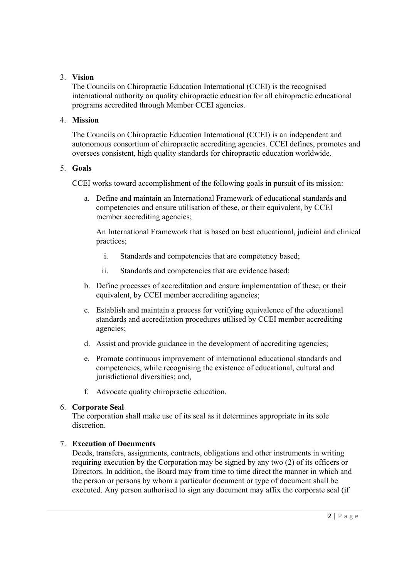## 3. **Vision**

The Councils on Chiropractic Education International (CCEI) is the recognised international authority on quality chiropractic education for all chiropractic educational programs accredited through Member CCEI agencies.

### 4. **Mission**

The Councils on Chiropractic Education International (CCEI) is an independent and autonomous consortium of chiropractic accrediting agencies. CCEI defines, promotes and oversees consistent, high quality standards for chiropractic education worldwide.

### 5. **Goals**

CCEI works toward accomplishment of the following goals in pursuit of its mission:

a. Define and maintain an International Framework of educational standards and competencies and ensure utilisation of these, or their equivalent, by CCEI member accrediting agencies;

An International Framework that is based on best educational, judicial and clinical practices;

- i. Standards and competencies that are competency based;
- ii. Standards and competencies that are evidence based;
- b. Define processes of accreditation and ensure implementation of these, or their equivalent, by CCEI member accrediting agencies;
- c. Establish and maintain a process for verifying equivalence of the educational standards and accreditation procedures utilised by CCEI member accrediting agencies;
- d. Assist and provide guidance in the development of accrediting agencies;
- e. Promote continuous improvement of international educational standards and competencies, while recognising the existence of educational, cultural and jurisdictional diversities; and,
- f. Advocate quality chiropractic education.

# 6. **Corporate Seal**

The corporation shall make use of its seal as it determines appropriate in its sole discretion.

# 7. **Execution of Documents**

Deeds, transfers, assignments, contracts, obligations and other instruments in writing requiring execution by the Corporation may be signed by any two (2) of its officers or Directors. In addition, the Board may from time to time direct the manner in which and the person or persons by whom a particular document or type of document shall be executed. Any person authorised to sign any document may affix the corporate seal (if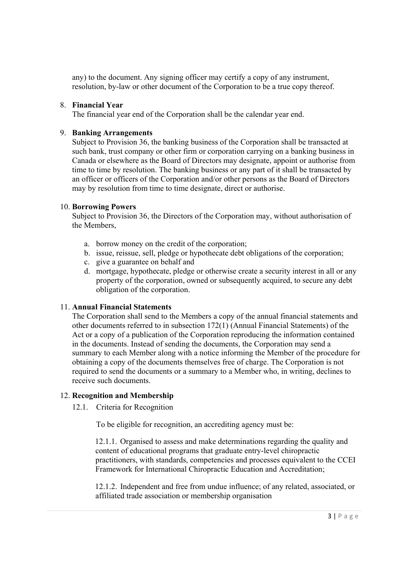any) to the document. Any signing officer may certify a copy of any instrument, resolution, by-law or other document of the Corporation to be a true copy thereof.

#### 8. **Financial Year**

The financial year end of the Corporation shall be the calendar year end.

#### 9. **Banking Arrangements**

Subject to Provision 36, the banking business of the Corporation shall be transacted at such bank, trust company or other firm or corporation carrying on a banking business in Canada or elsewhere as the Board of Directors may designate, appoint or authorise from time to time by resolution. The banking business or any part of it shall be transacted by an officer or officers of the Corporation and/or other persons as the Board of Directors may by resolution from time to time designate, direct or authorise.

#### 10. **Borrowing Powers**

Subject to Provision 36, the Directors of the Corporation may, without authorisation of the Members,

- a. borrow money on the credit of the corporation;
- b. issue, reissue, sell, pledge or hypothecate debt obligations of the corporation;
- c. give a guarantee on behalf and
- d. mortgage, hypothecate, pledge or otherwise create a security interest in all or any property of the corporation, owned or subsequently acquired, to secure any debt obligation of the corporation.

### 11. **Annual Financial Statements**

The Corporation shall send to the Members a copy of the annual financial statements and other documents referred to in subsection 172(1) (Annual Financial Statements) of the Act or a copy of a publication of the Corporation reproducing the information contained in the documents. Instead of sending the documents, the Corporation may send a summary to each Member along with a notice informing the Member of the procedure for obtaining a copy of the documents themselves free of charge. The Corporation is not required to send the documents or a summary to a Member who, in writing, declines to receive such documents.

#### 12. **Recognition and Membership**

12.1. Criteria for Recognition

To be eligible for recognition, an accrediting agency must be:

12.1.1. Organised to assess and make determinations regarding the quality and content of educational programs that graduate entry-level chiropractic practitioners, with standards, competencies and processes equivalent to the CCEI Framework for International Chiropractic Education and Accreditation;

12.1.2. Independent and free from undue influence; of any related, associated, or affiliated trade association or membership organisation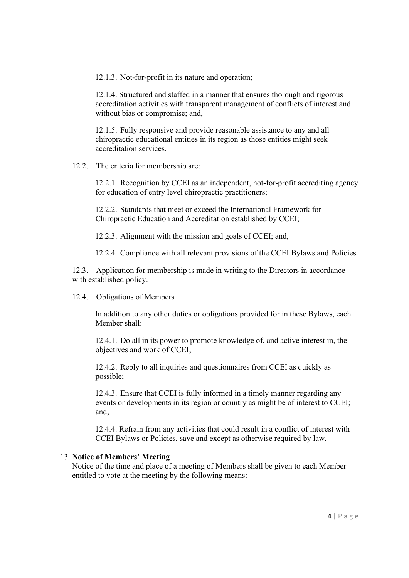12.1.3. Not-for-profit in its nature and operation;

12.1.4. Structured and staffed in a manner that ensures thorough and rigorous accreditation activities with transparent management of conflicts of interest and without bias or compromise; and,

12.1.5. Fully responsive and provide reasonable assistance to any and all chiropractic educational entities in its region as those entities might seek accreditation services.

12.2. The criteria for membership are:

12.2.1. Recognition by CCEI as an independent, not-for-profit accrediting agency for education of entry level chiropractic practitioners;

12.2.2. Standards that meet or exceed the International Framework for Chiropractic Education and Accreditation established by CCEI;

12.2.3. Alignment with the mission and goals of CCEI; and,

12.2.4. Compliance with all relevant provisions of the CCEI Bylaws and Policies.

12.3. Application for membership is made in writing to the Directors in accordance with established policy.

12.4. Obligations of Members

In addition to any other duties or obligations provided for in these Bylaws, each Member shall:

12.4.1. Do all in its power to promote knowledge of, and active interest in, the objectives and work of CCEI;

12.4.2. Reply to all inquiries and questionnaires from CCEI as quickly as possible;

12.4.3. Ensure that CCEI is fully informed in a timely manner regarding any events or developments in its region or country as might be of interest to CCEI; and,

12.4.4. Refrain from any activities that could result in a conflict of interest with CCEI Bylaws or Policies, save and except as otherwise required by law.

# 13. **Notice of Members' Meeting**

Notice of the time and place of a meeting of Members shall be given to each Member entitled to vote at the meeting by the following means: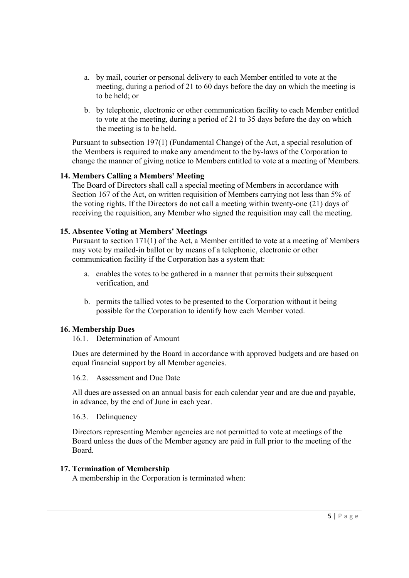- a. by mail, courier or personal delivery to each Member entitled to vote at the meeting, during a period of 21 to 60 days before the day on which the meeting is to be held; or
- b. by telephonic, electronic or other communication facility to each Member entitled to vote at the meeting, during a period of 21 to 35 days before the day on which the meeting is to be held.

Pursuant to subsection 197(1) (Fundamental Change) of the Act, a special resolution of the Members is required to make any amendment to the by-laws of the Corporation to change the manner of giving notice to Members entitled to vote at a meeting of Members.

### **14. Members Calling a Members' Meeting**

The Board of Directors shall call a special meeting of Members in accordance with Section 167 of the Act, on written requisition of Members carrying not less than 5% of the voting rights. If the Directors do not call a meeting within twenty-one (21) days of receiving the requisition, any Member who signed the requisition may call the meeting.

## **15. Absentee Voting at Members' Meetings**

Pursuant to section 171(1) of the Act, a Member entitled to vote at a meeting of Members may vote by mailed-in ballot or by means of a telephonic, electronic or other communication facility if the Corporation has a system that:

- a. enables the votes to be gathered in a manner that permits their subsequent verification, and
- b. permits the tallied votes to be presented to the Corporation without it being possible for the Corporation to identify how each Member voted.

### **16. Membership Dues**

16.1. Determination of Amount

Dues are determined by the Board in accordance with approved budgets and are based on equal financial support by all Member agencies.

16.2. Assessment and Due Date

All dues are assessed on an annual basis for each calendar year and are due and payable, in advance, by the end of June in each year.

16.3. Delinquency

Directors representing Member agencies are not permitted to vote at meetings of the Board unless the dues of the Member agency are paid in full prior to the meeting of the Board.

### **17. Termination of Membership**

A membership in the Corporation is terminated when: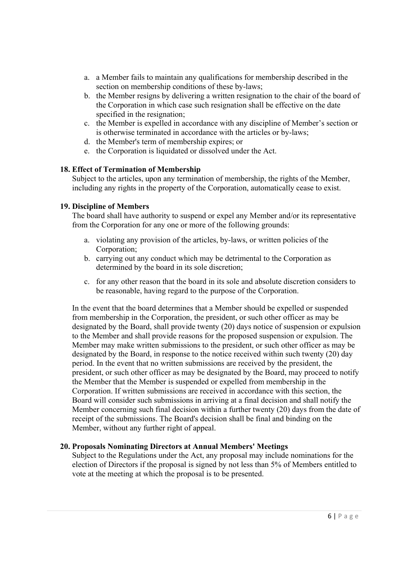- a. a Member fails to maintain any qualifications for membership described in the section on membership conditions of these by-laws;
- b. the Member resigns by delivering a written resignation to the chair of the board of the Corporation in which case such resignation shall be effective on the date specified in the resignation;
- c. the Member is expelled in accordance with any discipline of Member's section or is otherwise terminated in accordance with the articles or by-laws;
- d. the Member's term of membership expires; or
- e. the Corporation is liquidated or dissolved under the Act.

### **18. Effect of Termination of Membership**

Subject to the articles, upon any termination of membership, the rights of the Member, including any rights in the property of the Corporation, automatically cease to exist.

### **19. Discipline of Members**

The board shall have authority to suspend or expel any Member and/or its representative from the Corporation for any one or more of the following grounds:

- a. violating any provision of the articles, by-laws, or written policies of the Corporation;
- b. carrying out any conduct which may be detrimental to the Corporation as determined by the board in its sole discretion;
- c. for any other reason that the board in its sole and absolute discretion considers to be reasonable, having regard to the purpose of the Corporation.

In the event that the board determines that a Member should be expelled or suspended from membership in the Corporation, the president, or such other officer as may be designated by the Board, shall provide twenty (20) days notice of suspension or expulsion to the Member and shall provide reasons for the proposed suspension or expulsion. The Member may make written submissions to the president, or such other officer as may be designated by the Board, in response to the notice received within such twenty (20) day period. In the event that no written submissions are received by the president, the president, or such other officer as may be designated by the Board, may proceed to notify the Member that the Member is suspended or expelled from membership in the Corporation. If written submissions are received in accordance with this section, the Board will consider such submissions in arriving at a final decision and shall notify the Member concerning such final decision within a further twenty (20) days from the date of receipt of the submissions. The Board's decision shall be final and binding on the Member, without any further right of appeal.

### **20. Proposals Nominating Directors at Annual Members' Meetings**

Subject to the Regulations under the Act, any proposal may include nominations for the election of Directors if the proposal is signed by not less than 5% of Members entitled to vote at the meeting at which the proposal is to be presented.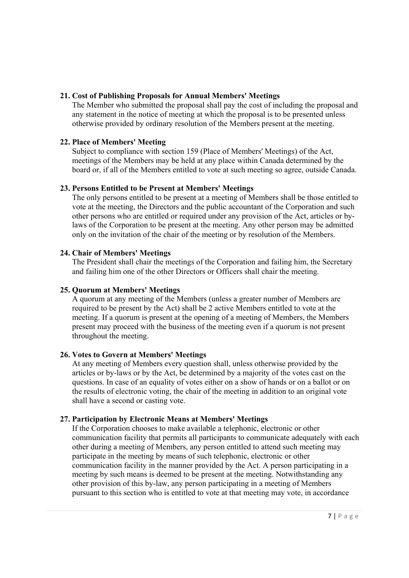## **21. Cost of Publishing Proposals for Annual Members' Meetings**

The Member who submitted the proposal shall pay the cost of including the proposal and any statement in the notice of meeting at which the proposal is to be presented unless otherwise provided by ordinary resolution of the Members present at the meeting.

## **22. Place of Members' Meeting**

Subject to compliance with section 159 (Place of Members' Meetings) of the Act, meetings of the Members may be held at any place within Canada determined by the board or, if all of the Members entitled to vote at such meeting so agree, outside Canada.

## **23. Persons Entitled to be Present at Members' Meetings**

The only persons entitled to be present at a meeting of Members shall be those entitled to vote at the meeting, the Directors and the public accountant of the Corporation and such other persons who are entitled or required under any provision of the Act, articles or bylaws of the Corporation to be present at the meeting. Any other person may be admitted only on the invitation of the chair of the meeting or by resolution of the Members.

## **24. Chair of Members' Meetings**

The President shall chair the meetings of the Corporation and failing him, the Secretary and failing him one of the other Directors or Officers shall chair the meeting.

### **25. Quorum at Members' Meetings**

A quorum at any meeting of the Members (unless a greater number of Members are required to be present by the Act) shall be 2 active Members entitled to vote at the meeting. If a quorum is present at the opening of a meeting of Members, the Members present may proceed with the business of the meeting even if a quorum is not present throughout the meeting.

# **26. Votes to Govern at Members' Meetings**

At any meeting of Members every question shall, unless otherwise provided by the articles or by-laws or by the Act, be determined by a majority of the votes cast on the questions. In case of an equality of votes either on a show of hands or on a ballot or on the results of electronic voting, the chair of the meeting in addition to an original vote shall have a second or casting vote.

# **27. Participation by Electronic Means at Members' Meetings**

If the Corporation chooses to make available a telephonic, electronic or other communication facility that permits all participants to communicate adequately with each other during a meeting of Members, any person entitled to attend such meeting may participate in the meeting by means of such telephonic, electronic or other communication facility in the manner provided by the Act. A person participating in a meeting by such means is deemed to be present at the meeting. Notwithstanding any other provision of this by-law, any person participating in a meeting of Members pursuant to this section who is entitled to vote at that meeting may vote, in accordance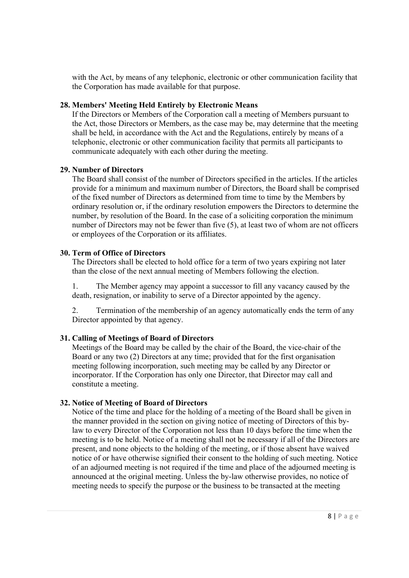with the Act, by means of any telephonic, electronic or other communication facility that the Corporation has made available for that purpose.

### **28. Members' Meeting Held Entirely by Electronic Means**

If the Directors or Members of the Corporation call a meeting of Members pursuant to the Act, those Directors or Members, as the case may be, may determine that the meeting shall be held, in accordance with the Act and the Regulations, entirely by means of a telephonic, electronic or other communication facility that permits all participants to communicate adequately with each other during the meeting.

### **29. Number of Directors**

The Board shall consist of the number of Directors specified in the articles. If the articles provide for a minimum and maximum number of Directors, the Board shall be comprised of the fixed number of Directors as determined from time to time by the Members by ordinary resolution or, if the ordinary resolution empowers the Directors to determine the number, by resolution of the Board. In the case of a soliciting corporation the minimum number of Directors may not be fewer than five (5), at least two of whom are not officers or employees of the Corporation or its affiliates.

## **30. Term of Office of Directors**

The Directors shall be elected to hold office for a term of two years expiring not later than the close of the next annual meeting of Members following the election.

1. The Member agency may appoint a successor to fill any vacancy caused by the death, resignation, or inability to serve of a Director appointed by the agency.

2. Termination of the membership of an agency automatically ends the term of any Director appointed by that agency.

# **31. Calling of Meetings of Board of Directors**

Meetings of the Board may be called by the chair of the Board, the vice-chair of the Board or any two (2) Directors at any time; provided that for the first organisation meeting following incorporation, such meeting may be called by any Director or incorporator. If the Corporation has only one Director, that Director may call and constitute a meeting.

### **32. Notice of Meeting of Board of Directors**

Notice of the time and place for the holding of a meeting of the Board shall be given in the manner provided in the section on giving notice of meeting of Directors of this bylaw to every Director of the Corporation not less than 10 days before the time when the meeting is to be held. Notice of a meeting shall not be necessary if all of the Directors are present, and none objects to the holding of the meeting, or if those absent have waived notice of or have otherwise signified their consent to the holding of such meeting. Notice of an adjourned meeting is not required if the time and place of the adjourned meeting is announced at the original meeting. Unless the by-law otherwise provides, no notice of meeting needs to specify the purpose or the business to be transacted at the meeting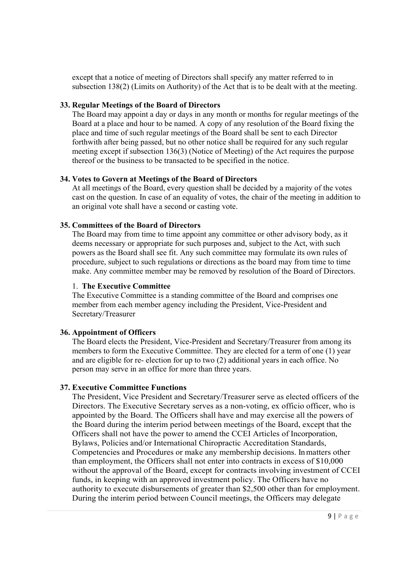except that a notice of meeting of Directors shall specify any matter referred to in subsection 138(2) (Limits on Authority) of the Act that is to be dealt with at the meeting.

## **33. Regular Meetings of the Board of Directors**

The Board may appoint a day or days in any month or months for regular meetings of the Board at a place and hour to be named. A copy of any resolution of the Board fixing the place and time of such regular meetings of the Board shall be sent to each Director forthwith after being passed, but no other notice shall be required for any such regular meeting except if subsection 136(3) (Notice of Meeting) of the Act requires the purpose thereof or the business to be transacted to be specified in the notice.

## **34. Votes to Govern at Meetings of the Board of Directors**

At all meetings of the Board, every question shall be decided by a majority of the votes cast on the question. In case of an equality of votes, the chair of the meeting in addition to an original vote shall have a second or casting vote.

## **35. Committees of the Board of Directors**

The Board may from time to time appoint any committee or other advisory body, as it deems necessary or appropriate for such purposes and, subject to the Act, with such powers as the Board shall see fit. Any such committee may formulate its own rules of procedure, subject to such regulations or directions as the board may from time to time make. Any committee member may be removed by resolution of the Board of Directors.

## 1. **The Executive Committee**

The Executive Committee is a standing committee of the Board and comprises one member from each member agency including the President, Vice-President and Secretary/Treasurer

# **36. Appointment of Officers**

The Board elects the President, Vice-President and Secretary/Treasurer from among its members to form the Executive Committee. They are elected for a term of one (1) year and are eligible for re- election for up to two (2) additional years in each office. No person may serve in an office for more than three years.

### **37. Executive Committee Functions**

The President, Vice President and Secretary/Treasurer serve as elected officers of the Directors. The Executive Secretary serves as a non-voting, ex officio officer, who is appointed by the Board. The Officers shall have and may exercise all the powers of the Board during the interim period between meetings of the Board, except that the Officers shall not have the power to amend the CCEI Articles of Incorporation, Bylaws, Policies and/or International Chiropractic Accreditation Standards, Competencies and Procedures or make any membership decisions. In matters other than employment, the Officers shall not enter into contracts in excess of \$10,000 without the approval of the Board, except for contracts involving investment of CCEI funds, in keeping with an approved investment policy. The Officers have no authority to execute disbursements of greater than \$2,500 other than for employment. During the interim period between Council meetings, the Officers may delegate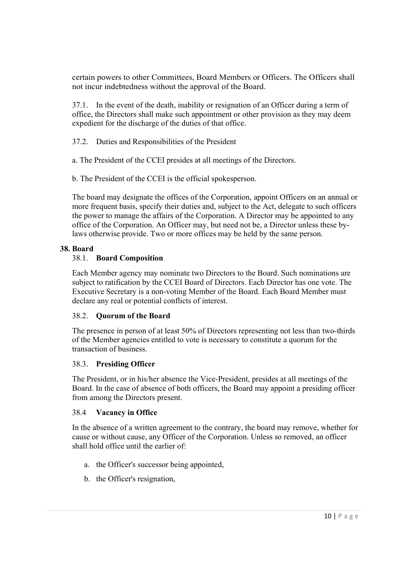certain powers to other Committees, Board Members or Officers. The Officers shall not incur indebtedness without the approval of the Board.

37.1. In the event of the death, inability or resignation of an Officer during a term of office, the Directors shall make such appointment or other provision as they may deem expedient for the discharge of the duties of that office.

37.2. Duties and Responsibilities of the President

a. The President of the CCEI presides at all meetings of the Directors.

b. The President of the CCEI is the official spokesperson.

The board may designate the offices of the Corporation, appoint Officers on an annual or more frequent basis, specify their duties and, subject to the Act, delegate to such officers the power to manage the affairs of the Corporation. A Director may be appointed to any office of the Corporation. An Officer may, but need not be, a Director unless these bylaws otherwise provide. Two or more offices may be held by the same person.

## **38. Board**

# 38.1. **Board Composition**

Each Member agency may nominate two Directors to the Board. Such nominations are subject to ratification by the CCEI Board of Directors. Each Director has one vote. The Executive Secretary is a non-voting Member of the Board. Each Board Member must declare any real or potential conflicts of interest.

### 38.2. **Quorum of the Board**

The presence in person of at least 50% of Directors representing not less than two-thirds of the Member agencies entitled to vote is necessary to constitute a quorum for the transaction of business.

### 38.3. **Presiding Officer**

The President, or in his/her absence the Vice-President, presides at all meetings of the Board. In the case of absence of both officers, the Board may appoint a presiding officer from among the Directors present.

### 38.4 **Vacancy in Office**

In the absence of a written agreement to the contrary, the board may remove, whether for cause or without cause, any Officer of the Corporation. Unless so removed, an officer shall hold office until the earlier of:

- a. the Officer's successor being appointed,
- b. the Officer's resignation,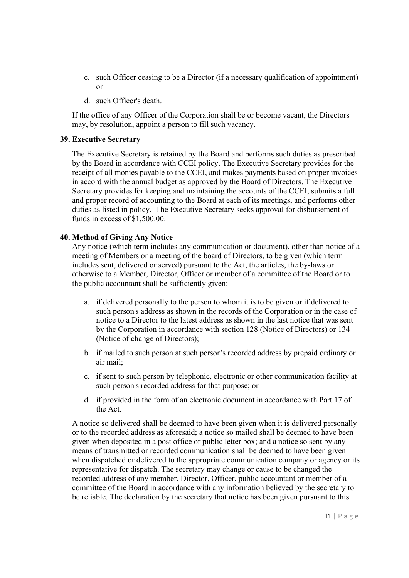- c. such Officer ceasing to be a Director (if a necessary qualification of appointment) or
- d. such Officer's death.

If the office of any Officer of the Corporation shall be or become vacant, the Directors may, by resolution, appoint a person to fill such vacancy.

## **39. Executive Secretary**

The Executive Secretary is retained by the Board and performs such duties as prescribed by the Board in accordance with CCEI policy. The Executive Secretary provides for the receipt of all monies payable to the CCEI, and makes payments based on proper invoices in accord with the annual budget as approved by the Board of Directors. The Executive Secretary provides for keeping and maintaining the accounts of the CCEI, submits a full and proper record of accounting to the Board at each of its meetings, and performs other duties as listed in policy. The Executive Secretary seeks approval for disbursement of funds in excess of \$1,500.00.

## **40. Method of Giving Any Notice**

Any notice (which term includes any communication or document), other than notice of a meeting of Members or a meeting of the board of Directors, to be given (which term includes sent, delivered or served) pursuant to the Act, the articles, the by-laws or otherwise to a Member, Director, Officer or member of a committee of the Board or to the public accountant shall be sufficiently given:

- a. if delivered personally to the person to whom it is to be given or if delivered to such person's address as shown in the records of the Corporation or in the case of notice to a Director to the latest address as shown in the last notice that was sent by the Corporation in accordance with section 128 (Notice of Directors) or 134 (Notice of change of Directors);
- b. if mailed to such person at such person's recorded address by prepaid ordinary or air mail;
- c. if sent to such person by telephonic, electronic or other communication facility at such person's recorded address for that purpose; or
- d. if provided in the form of an electronic document in accordance with Part 17 of the Act.

A notice so delivered shall be deemed to have been given when it is delivered personally or to the recorded address as aforesaid; a notice so mailed shall be deemed to have been given when deposited in a post office or public letter box; and a notice so sent by any means of transmitted or recorded communication shall be deemed to have been given when dispatched or delivered to the appropriate communication company or agency or its representative for dispatch. The secretary may change or cause to be changed the recorded address of any member, Director, Officer, public accountant or member of a committee of the Board in accordance with any information believed by the secretary to be reliable. The declaration by the secretary that notice has been given pursuant to this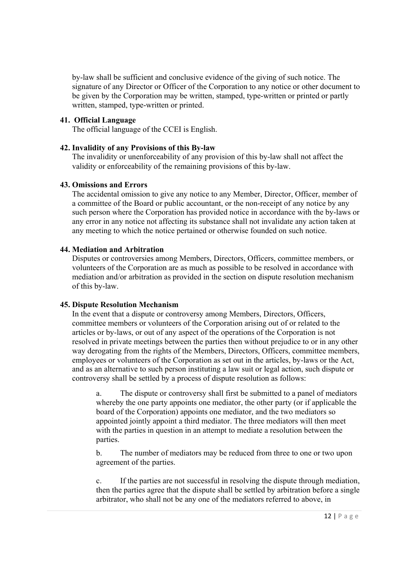by-law shall be sufficient and conclusive evidence of the giving of such notice. The signature of any Director or Officer of the Corporation to any notice or other document to be given by the Corporation may be written, stamped, type-written or printed or partly written, stamped, type-written or printed.

### **41. Official Language**

The official language of the CCEI is English.

## **42. Invalidity of any Provisions of this By-law**

The invalidity or unenforceability of any provision of this by-law shall not affect the validity or enforceability of the remaining provisions of this by-law.

### **43. Omissions and Errors**

The accidental omission to give any notice to any Member, Director, Officer, member of a committee of the Board or public accountant, or the non-receipt of any notice by any such person where the Corporation has provided notice in accordance with the by-laws or any error in any notice not affecting its substance shall not invalidate any action taken at any meeting to which the notice pertained or otherwise founded on such notice.

## **44. Mediation and Arbitration**

Disputes or controversies among Members, Directors, Officers, committee members, or volunteers of the Corporation are as much as possible to be resolved in accordance with mediation and/or arbitration as provided in the section on dispute resolution mechanism of this by-law.

# **45. Dispute Resolution Mechanism**

In the event that a dispute or controversy among Members, Directors, Officers, committee members or volunteers of the Corporation arising out of or related to the articles or by-laws, or out of any aspect of the operations of the Corporation is not resolved in private meetings between the parties then without prejudice to or in any other way derogating from the rights of the Members, Directors, Officers, committee members, employees or volunteers of the Corporation as set out in the articles, by-laws or the Act, and as an alternative to such person instituting a law suit or legal action, such dispute or controversy shall be settled by a process of dispute resolution as follows:

a. The dispute or controversy shall first be submitted to a panel of mediators whereby the one party appoints one mediator, the other party (or if applicable the board of the Corporation) appoints one mediator, and the two mediators so appointed jointly appoint a third mediator. The three mediators will then meet with the parties in question in an attempt to mediate a resolution between the parties.

b. The number of mediators may be reduced from three to one or two upon agreement of the parties.

c. If the parties are not successful in resolving the dispute through mediation, then the parties agree that the dispute shall be settled by arbitration before a single arbitrator, who shall not be any one of the mediators referred to above, in